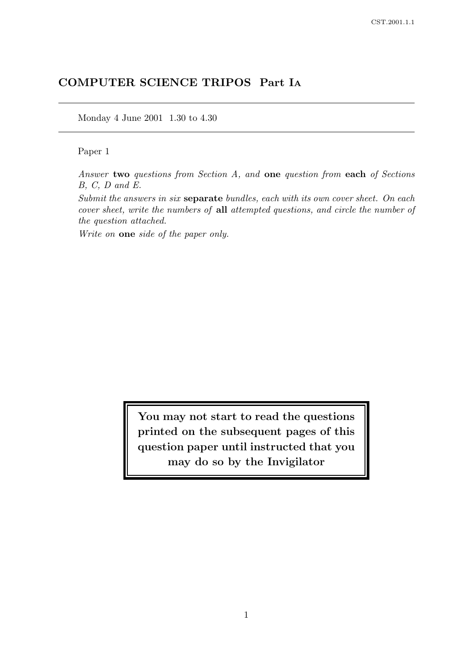# COMPUTER SCIENCE TRIPOS Part I<sup>A</sup>

Monday 4 June 2001 1.30 to 4.30

#### Paper 1

Answer two questions from Section A, and one question from each of Sections B, C, D and E.

Submit the answers in six separate bundles, each with its own cover sheet. On each cover sheet, write the numbers of all attempted questions, and circle the number of the question attached.

Write on one side of the paper only.

You may not start to read the questions printed on the subsequent pages of this question paper until instructed that you may do so by the Invigilator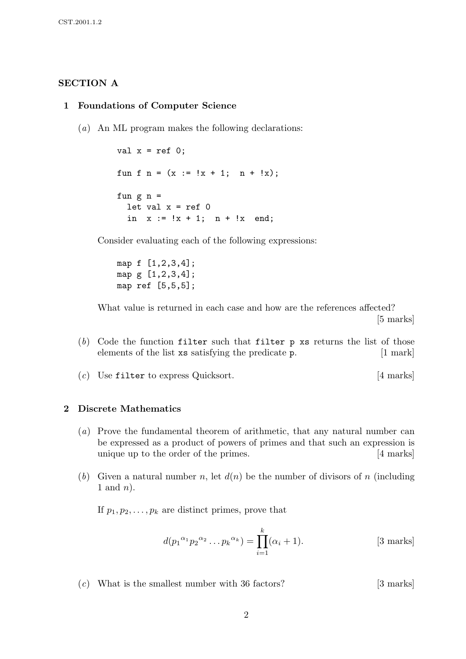#### SECTION A

#### 1 Foundations of Computer Science

(a) An ML program makes the following declarations:

```
val x = ref 0;
fun f n = (x := |x + 1; n + |x);fun g n =
 let val x = ref 0in x := !x + 1; n + !x end;
```
Consider evaluating each of the following expressions:

map f [1,2,3,4]; map g [1,2,3,4]; map ref [5,5,5];

What value is returned in each case and how are the references affected? [5 marks]

- $(b)$  Code the function filter such that filter p xs returns the list of those elements of the list xs satisfying the predicate p. [1 mark]
- (c) Use filter to express Quicksort. [4 marks]

#### 2 Discrete Mathematics

- (a) Prove the fundamental theorem of arithmetic, that any natural number can be expressed as a product of powers of primes and that such an expression is unique up to the order of the primes. [4 marks]
- (b) Given a natural number n, let  $d(n)$  be the number of divisors of n (including 1 and  $n$ ).

If  $p_1, p_2, \ldots, p_k$  are distinct primes, prove that

$$
d(p_1^{\alpha_1} p_2^{\alpha_2} \dots p_k^{\alpha_k}) = \prod_{i=1}^k (\alpha_i + 1).
$$
 [3 marks]

 $(c)$  What is the smallest number with 36 factors? [3 marks]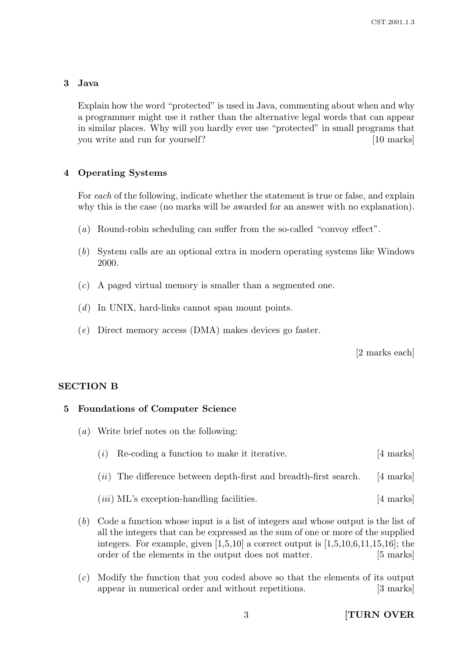# 3 Java

Explain how the word "protected" is used in Java, commenting about when and why a programmer might use it rather than the alternative legal words that can appear in similar places. Why will you hardly ever use "protected" in small programs that you write and run for yourself? [10 marks]

# 4 Operating Systems

For each of the following, indicate whether the statement is true or false, and explain why this is the case (no marks will be awarded for an answer with no explanation).

- (a) Round-robin scheduling can suffer from the so-called "convoy effect".
- (b) System calls are an optional extra in modern operating systems like Windows 2000.
- (c) A paged virtual memory is smaller than a segmented one.
- (d) In UNIX, hard-links cannot span mount points.
- (e) Direct memory access (DMA) makes devices go faster.

[2 marks each]

### SECTION B

### 5 Foundations of Computer Science

- (a) Write brief notes on the following:
	- $(i)$  Re-coding a function to make it iterative. [4 marks]
	- $(ii)$  The difference between depth-first and breadth-first search. [4 marks]
	- (*iii*) ML's exception-handling facilities. [4 marks]
- (b) Code a function whose input is a list of integers and whose output is the list of all the integers that can be expressed as the sum of one or more of the supplied integers. For example, given  $[1,5,10]$  a correct output is  $[1,5,10,6,11,15,16]$ ; the order of the elements in the output does not matter. [5 marks]
- (c) Modify the function that you coded above so that the elements of its output appear in numerical order and without repetitions. [3 marks]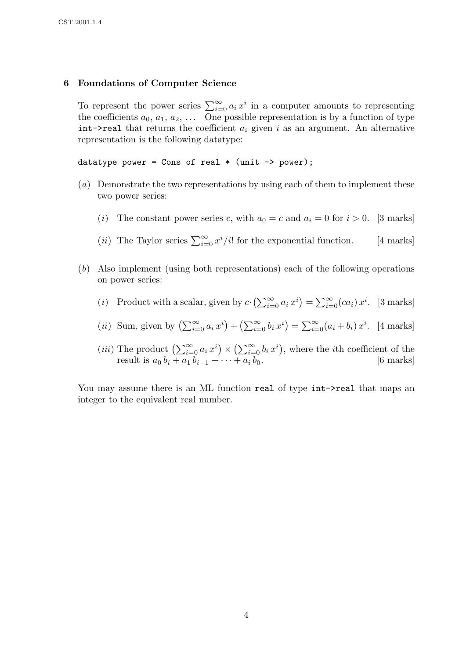#### 6 Foundations of Computer Science

To represent the power series  $\sum_{i=0}^{\infty} a_i x^i$  in a computer amounts to representing the coefficients  $a_0, a_1, a_2, \ldots$  One possible representation is by a function of type int- $\lambda$ real that returns the coefficient  $a_i$  given i as an argument. An alternative representation is the following datatype:

datatype power = Cons of real  $*$  (unit -> power);

- (a) Demonstrate the two representations by using each of them to implement these two power series:
	- (i) The constant power series c, with  $a_0 = c$  and  $a_i = 0$  for  $i > 0$ . [3 marks]
	- (*ii*) The Taylor series  $\sum_{i=0}^{\infty} x^i/i!$  for the exponential function. [4 marks]
- (b) Also implement (using both representations) each of the following operations on power series:
	- (*i*) Product with a scalar, given by  $c \cdot (\sum_{i=0}^{\infty} a_i x^i) = \sum_{i=0}^{\infty} (ca_i) x^i$ . [3 marks]
	- (*ii*) Sum, given by  $\left(\sum_{i=0}^{\infty} a_i x^i\right) + \left(\sum_{i=0}^{\infty} b_i x^i\right) = \sum_{i=0}^{\infty} (a_i + b_i) x^i$ . [4 marks]
	- (*iii*) The product  $\left(\sum_{i=0}^{\infty} a_i x^i\right) \times \left(\sum_{i=0}^{\infty} b_i x^i\right)$ , where the *i*th coefficient of the result is  $a_0 b_i + a_1 b_{i-1} + \cdots + a_i b_0$ . [6 marks]

You may assume there is an ML function real of type int- $\ge$ real that maps an integer to the equivalent real number.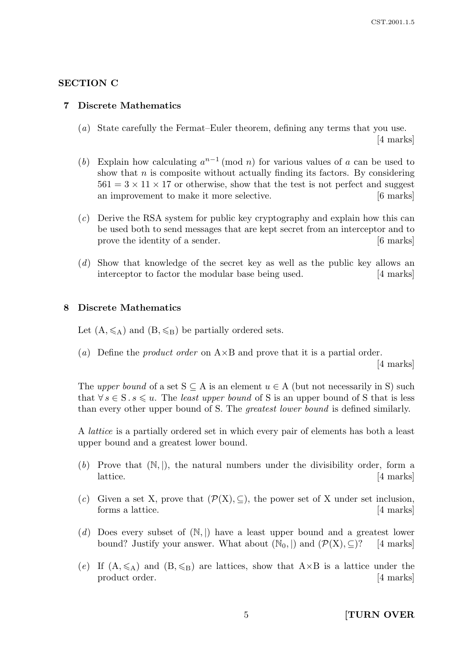### SECTION C

#### 7 Discrete Mathematics

- (a) State carefully the Fermat–Euler theorem, defining any terms that you use. [4 marks]
- (b) Explain how calculating  $a^{n-1} \pmod{n}$  for various values of a can be used to show that  $n$  is composite without actually finding its factors. By considering  $561 = 3 \times 11 \times 17$  or otherwise, show that the test is not perfect and suggest an improvement to make it more selective. [6 marks]
- (c) Derive the RSA system for public key cryptography and explain how this can be used both to send messages that are kept secret from an interceptor and to prove the identity of a sender. [6 marks]
- (d) Show that knowledge of the secret key as well as the public key allows an interceptor to factor the modular base being used. [4 marks]

#### 8 Discrete Mathematics

Let  $(A, \leqslant_A)$  and  $(B, \leqslant_B)$  be partially ordered sets.

(a) Define the *product order* on  $A \times B$  and prove that it is a partial order.

[4 marks]

The upper bound of a set  $S \subseteq A$  is an element  $u \in A$  (but not necessarily in S) such that  $\forall s \in S$ .  $s \leq u$ . The *least upper bound* of S is an upper bound of S that is less than every other upper bound of S. The greatest lower bound is defined similarly.

A lattice is a partially ordered set in which every pair of elements has both a least upper bound and a greatest lower bound.

- (b) Prove that  $(N, |)$ , the natural numbers under the divisibility order, form a lattice. [4 marks]
- (c) Given a set X, prove that  $(\mathcal{P}(X), \subseteq)$ , the power set of X under set inclusion, forms a lattice. [4 marks]
- (d) Does every subset of  $(N, \vert)$  have a least upper bound and a greatest lower bound? Justify your answer. What about  $(\mathbb{N}_0, \mathbb{N})$  and  $(\mathcal{P}(\mathbf{X}), \subseteq)$ ? [4 marks]
- (e) If  $(A, \leq A)$  and  $(B, \leq B)$  are lattices, show that  $A \times B$  is a lattice under the product order. [4 marks]

5 [TURN OVER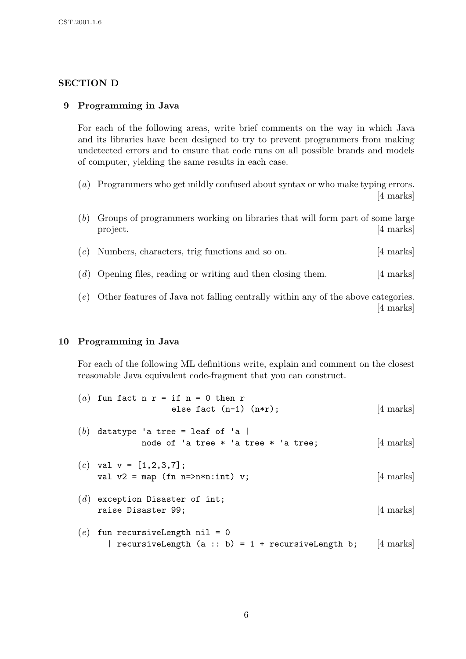# SECTION D

### 9 Programming in Java

For each of the following areas, write brief comments on the way in which Java and its libraries have been designed to try to prevent programmers from making undetected errors and to ensure that code runs on all possible brands and models of computer, yielding the same results in each case.

- (a) Programmers who get mildly confused about syntax or who make typing errors. [4 marks]
- (b) Groups of programmers working on libraries that will form part of some large project. [4 marks]
- (c) Numbers, characters, trig functions and so on. [4 marks]
- (d) Opening files, reading or writing and then closing them. [4 marks]
- (e) Other features of Java not falling centrally within any of the above categories. [4 marks]

### 10 Programming in Java

For each of the following ML definitions write, explain and comment on the closest reasonable Java equivalent code-fragment that you can construct.

| (a) fun fact n r = if n = 0 then r<br>else fact $(n-1)$ $(n*r);$                                   | [4 marks] |
|----------------------------------------------------------------------------------------------------|-----------|
| $(b)$ datatype 'a tree = leaf of 'a  <br>node of 'a tree * 'a tree * 'a tree;                      | [4 marks] |
| (c) val $v = [1, 2, 3, 7];$<br>val $v2 = map (fn n=>n*n:int) v;$                                   | [4 marks] |
| $(d)$ exception Disaster of int;<br>raise Disaster 99;                                             | [4 marks] |
| $(e)$ fun recursiveLength nil = 0<br>  recursiveLength $(a :: b) = 1 + \text{recursiveLength } b;$ | [4 marks] |